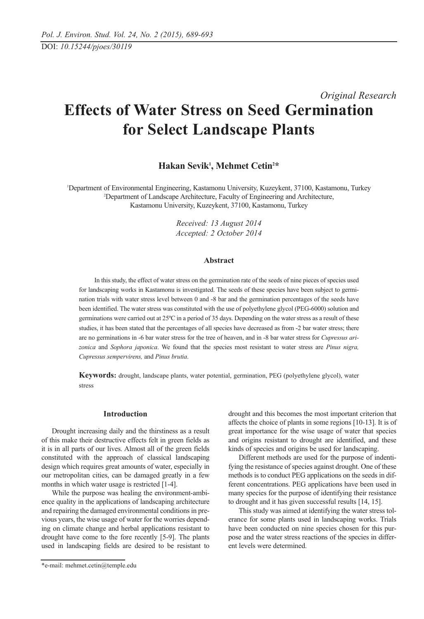# *Original Research* **Effects of Water Stress on Seed Germination for Select Landscape Plants**

**Hakan Sevik1 , Mehmet Cetin2 \***

1 Department of Environmental Engineering, Kastamonu University, Kuzeykent, 37100, Kastamonu, Turkey 2 Department of Landscape Architecture, Faculty of Engineering and Architecture, Kastamonu University, Kuzeykent, 37100, Kastamonu, Turkey

> *Received: 13 August 2014 Accepted: 2 October 2014*

#### **Abstract**

In this study, the effect of water stress on the germination rate of the seeds of nine pieces of species used for landscaping works in Kastamonu is investigated. The seeds of these species have been subject to germination trials with water stress level between 0 and -8 bar and the germination percentages of the seeds have been identified. The water stress was constituted with the use of polyethylene glycol (PEG-6000) solution and germinations were carried out at 25ºC in a period of 35 days. Depending on the water stress as a result of these studies, it has been stated that the percentages of all species have decreased as from -2 bar water stress; there are no germinations in -6 bar water stress for the tree of heaven, and in -8 bar water stress for *Cupressus arizonica* and *Sophora japonica*. We found that the species most resistant to water stress are *Pinus nigra, Cupressus sempervirens,* and *Pinus brutia*.

**Keywords:** drought, landscape plants, water potential, germination, PEG (polyethylene glycol), water stress

## **Introduction**

Drought increasing daily and the thirstiness as a result of this make their destructive effects felt in green fields as it is in all parts of our lives. Almost all of the green fields constituted with the approach of classical landscaping design which requires great amounts of water, especially in our metropolitan cities, can be damaged greatly in a few months in which water usage is restricted [1-4].

While the purpose was healing the environment-ambience quality in the applications of landscaping architecture and repairing the damaged environmental conditions in previous years, the wise usage of water for the worries depending on climate change and herbal applications resistant to drought have come to the fore recently [5-9]. The plants used in landscaping fields are desired to be resistant to

drought and this becomes the most important criterion that affects the choice of plants in some regions [10-13]. It is of great importance for the wise usage of water that species and origins resistant to drought are identified, and these kinds of species and origins be used for landscaping.

Different methods are used for the purpose of indentifying the resistance of species against drought. One of these methods is to conduct PEG applications on the seeds in different concentrations. PEG applications have been used in many species for the purpose of identifying their resistance to drought and it has given successful results [14, 15].

This study was aimed at identifying the water stress tolerance for some plants used in landscaping works. Trials have been conducted on nine species chosen for this purpose and the water stress reactions of the species in different levels were determined.

<sup>\*</sup>e-mail: mehmet.cetin@temple.edu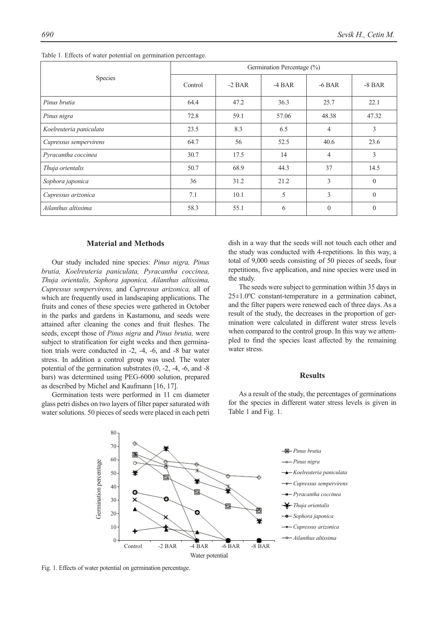| Species                 | Germination Percentage (%) |          |          |                |          |  |
|-------------------------|----------------------------|----------|----------|----------------|----------|--|
|                         | Control                    | $-2$ BAR | $-4$ BAR | $-6$ BAR       | $-8$ BAR |  |
| Pinus brutia            | 64.4                       | 47.2     | 36.3     | 25.7           | 22.1     |  |
| Pinus nigra             | 72.8                       | 59.1     | 57.06    | 48.38          | 47.32    |  |
| Koelreuteria paniculata | 23.5                       | 8.3      | 6.5      | 4              | 3        |  |
| Cupressus sempervirens  | 64.7                       | 56       | 52.5     | 40.6           | 23.6     |  |
| Pyracantha coccinea     | 30.7                       | 17.5     | 14       | $\overline{4}$ | 3        |  |
| Thuja orientalis        | 50.7                       | 68.9     | 44.3     | 37             | 14.5     |  |
| Sophora japonica        | 36                         | 31.2     | 21.2     | 3              | $\theta$ |  |
| Cupressus arizonica     | 7.1                        | 10.1     | 5        | 3              | $\theta$ |  |
| Ailanthus altissima     | 58.3                       | 55.1     | 6        | $\mathbf{0}$   | $\theta$ |  |

Table 1. Effects of water potential on germination percentage.

#### **Material and Methods**

Our study included nine species: *Pinus nigra, Pinus brutia, Koelreuteria paniculata, Pyracantha coccinea, Thuja orientalis, Sophora japonica, Ailanthus altissima, Cupressus sempervirens,* and *Cupressus arizonica,* all of which are frequently used in landscaping applications. The fruits and cones of these species were gathered in October in the parks and gardens in Kastamonu, and seeds were attained after cleaning the cones and fruit fleshes. The seeds, except those of *Pinus nigra* and *Pinus brutia,* were subject to stratification for eight weeks and then germination trials were conducted in -2, -4, -6, and -8 bar water stress. In addition a control group was used. The water potential of the germination substrates (0, -2, -4, -6, and -8 bars) was determined using PEG-6000 solution, prepared as described by Michel and Kaufmann [16, 17].

Germination tests were performed in 11 cm diameter glass petri dishes on two layers of filter paper saturated with water solutions. 50 pieces of seeds were placed in each petri dish in a way that the seeds will not touch each other and the study was conducted with 4-repetitions. In this way, a total of 9,000 seeds consisting of 50 pieces of seeds, four repetitions, five application, and nine species were used in the study.

The seeds were subject to germination within 35 days in 25±1.0ºC constant-temperature in a germination cabinet, and the filter papers were renewed each of three days. As a result of the study, the decreases in the proportion of germination were calculated in different water stress levels when compared to the control group. In this way we attempled to find the species least affected by the remaining water stress.

#### **Results**

As a result of the study, the percentages of germinations for the species in different water stress levels is given in Table 1 and Fig. 1.

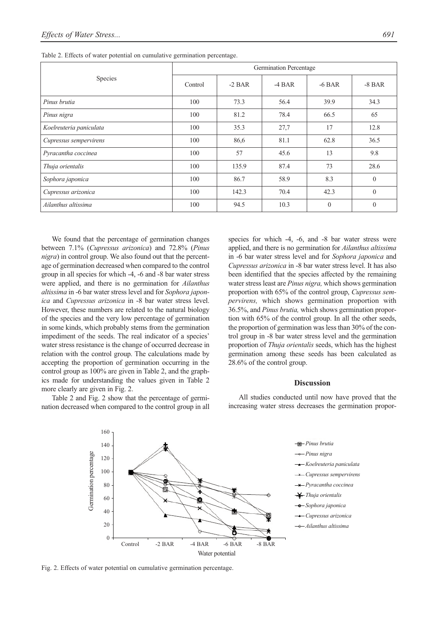| Species                 | Germination Percentage |          |          |              |              |  |
|-------------------------|------------------------|----------|----------|--------------|--------------|--|
|                         | Control                | $-2$ BAR | $-4$ BAR | $-6$ BAR     | $-8$ BAR     |  |
| Pinus brutia            | 100                    | 73.3     | 56.4     | 39.9         | 34.3         |  |
| Pinus nigra             | 100                    | 81.2     | 78.4     | 66.5         | 65           |  |
| Koelreuteria paniculata | 100                    | 35.3     | 27,7     | 17           | 12.8         |  |
| Cupressus sempervirens  | 100                    | 86,6     | 81.1     | 62.8         | 36.5         |  |
| Pyracantha coccinea     | 100                    | 57       | 45.6     | 13           | 9.8          |  |
| Thuja orientalis        | 100                    | 135.9    | 87.4     | 73           | 28.6         |  |
| Sophora japonica        | 100                    | 86.7     | 58.9     | 8.3          | $\theta$     |  |
| Cupressus arizonica     | 100                    | 142.3    | 70.4     | 42.3         | $\theta$     |  |
| Ailanthus altissima     | 100                    | 94.5     | 10.3     | $\mathbf{0}$ | $\mathbf{0}$ |  |

Table 2. Effects of water potential on cumulative germination percentage.

We found that the percentage of germination changes between 7.1% (*Cupressus arizonica*) and 72.8% (*Pinus nigra*) in control group. We also found out that the percentage of germination decreased when compared to the control group in all species for which -4, -6 and -8 bar water stress were applied, and there is no germination for *Ailanthus altissima* in -6 bar water stress level and for *Sophora japonica* and *Cupressus arizonica* in -8 bar water stress level. However, these numbers are related to the natural biology of the species and the very low percentage of germination in some kinds, which probably stems from the germination impediment of the seeds. The real indicator of a species' water stress resistance is the change of occurred decrease in relation with the control group. The calculations made by accepting the proportion of germination occurring in the control group as 100% are given in Table 2, and the graphics made for understanding the values given in Table 2 more clearly are given in Fig. 2.

Table 2 and Fig. 2 show that the percentage of germination decreased when compared to the control group in all species for which -4, -6, and -8 bar water stress were applied, and there is no germination for *Ailanthus altissima* in -6 bar water stress level and for *Sophora japonica* and *Cupressus arizonica* in -8 bar water stress level. It has also been identified that the species affected by the remaining water stress least are *Pinus nigra,* which shows germination proportion with 65% of the control group, *Cupressus sempervirens,* which shows germination proportion with 36.5%, and *Pinus brutia,* which shows germination proportion with 65% of the control group. In all the other seeds, the proportion of germination was less than 30% of the control group in -8 bar water stress level and the germination proportion of *Thuja orientalis* seeds, which has the highest germination among these seeds has been calculated as 28.6% of the control group.

#### **Discussion**

All studies conducted until now have proved that the increasing water stress decreases the germination propor-

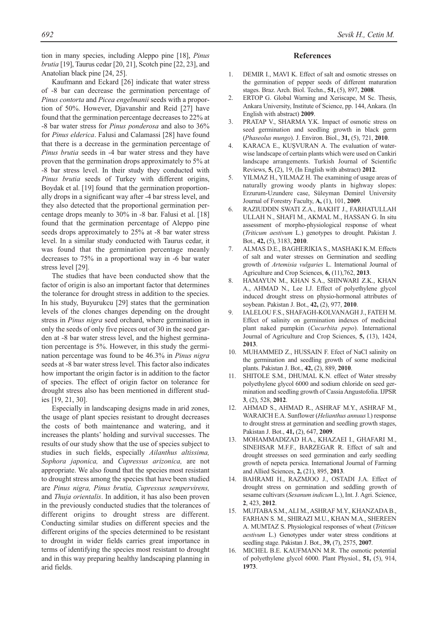tion in many species, including Aleppo pine [18], *Pinus brutia* [19], Taurus cedar [20, 21], Scotch pine [22, 23], and Anatolian black pine [24, 25].

Kaufmann and Eckard [26] indicate that water stress of -8 bar can decrease the germination percentage of *Pinus contorta* and *Picea engelmanii* seeds with a proportion of 50%. However, Djavanshir and Reid [27] have found that the germination percentage decreases to 22% at -8 bar water stress for *Pinus ponderosa* and also to 36% for *Pinus elderica*. Falusi and Calamassi [28] have found that there is a decrease in the germination percentage of *Pinus brutia* seeds in -4 bar water stress and they have proven that the germination drops approximately to 5% at -8 bar stress level. In their study they conducted with *Pinus brutia* seeds of Turkey with different origins, Boydak et al. [19] found that the germination proportionally drops in a significant way after -4 bar stress level, and they also detected that the proportional germination percentage drops meanly to 30% in -8 bar. Falusi et al. [18] found that the germination percentage of Aleppo pine seeds drops approximately to 25% at -8 bar water stress level. In a similar study conducted with Taurus cedar, it was found that the germination percentage meanly decreases to 75% in a proportional way in -6 bar water stress level [29].

The studies that have been conducted show that the factor of origin is also an important factor that determines the tolerance for drought stress in addition to the species. In his study, Buyurukcu [29] states that the germination levels of the clones changes depending on the drought stress in *Pinus nigra* seed orchard, where germination in only the seeds of only five pieces out of 30 in the seed garden at -8 bar water stress level, and the highest germination percentage is 5%. However, in this study the germination percentage was found to be 46.3% in *Pinus nigra* seeds at -8 bar water stress level. This factor also indicates how important the origin factor is in addition to the factor of species. The effect of origin factor on tolerance for drought stress also has been mentioned in different studies [19, 21, 30].

Especially in landscaping designs made in arid zones, the usage of plant species resistant to drought decreases the costs of both maintenance and watering, and it increases the plants' holding and survival successes. The results of our study show that the use of species subject to studies in such fields, especially *Ailanthus altissima, Sophora japonica,* and *Cupressus arizonica,* are not appropriate. We also found that the species most resistant to drought stress among the species that have been studied are *Pinus nigra, Pinus brutia, Cupressus sempervirens,* and *Thuja orientalis*. In addition, it has also been proven in the previously conducted studies that the tolerances of different origins to drought stress are different. Conducting similar studies on different species and the different origins of the species determined to be resistant to drought in wider fields carries great importance in terms of identifying the species most resistant to drought and in this way preparing healthy landscaping planning in arid fields.

#### *692 Sevik H., Cetin M.*

### **References**

- 1. DEMIR I., MAVI K. Effect of salt and osmotic stresses on the germination of pepper seeds of different maturation stages. Braz. Arch. Biol. Techn., **51,** (5), 897, **2008**.
- 2. ERTOP G. Global Warning and Xeriscape, M Sc. Thesis, Ankara University, Institute of Science, pp. 144, Ankara. (In English with abstract) **2009**.
- 3. PRATAP V., SHARMA Y.K. Impact of osmotic stress on seed germination and seedling growth in black germ (*Phaseolus mungo*). J. Environ. Biol., **31,** (5), 721, **2010**.
- KARACA E., KUŞVURAN A. The evaluation of waterwise landscape of certain plants which were used on Cankiri landscape arrangements. Turkish Journal of Scientific Reviews, **5,** (2), 19, (In English with abstract) **2012**.
- 5. YILMAZ H., YILMAZ H. The examining of usage areas of naturally growing woody plants in highway slopes: Erzurum-Uzundere case, Süleyman Demirel University Journal of Forestry Faculty, **A,** (1), 101, **2009**.
- 6. RAZIUDDIN SWATI Z.A., BAKHT J., FARHATULLAH ULLAH N., SHAFI M., AKMAL M., HASSAN G. In situ assessment of morpho-physiological response of wheat (*Triticum aestivum* L.) genotypes to drought. Pakistan J. Bot., **42,** (5), 3183, **2010**.
- 7. ALMAS D.E., BAGHERIKIA S., MASHAKI K.M. Effects of salt and water stresses on Germination and seedling growth of *Artemisia vulgaries* L. International Journal of Agriculture and Crop Sciences, **6,** (11),762, **2013**.
- 8. HAMAYUN M., KHAN S.A., SHINWARI Z.K., KHAN A., AHMAD N., Lee I.J. Effect of polyethylene glycol induced drought stress on physio-hormonal attributes of soybean. Pakistan J. Bot., **42,** (2), 977, **2010**.
- 9. IALELOU F.S., SHAFAGH-KOLVANAGH J., FATEH M. Effect of salinity on germination indexes of medicinal plant naked pumpkin (*Cucurbita pepo*). International Journal of Agriculture and Crop Sciences, **5,** (13), 1424, **2013**.
- 10. MUHAMMED Z., HUSSAIN F. Efect of NaCl salinity on the germination and seedling growth of some medicinal plants. Pakistan J. Bot., **42,** (2), 889, **2010**.
- 11. SHITOLE S.M., DHUMAL K.N. effect of Water stressby polyethylene glycol 6000 and sodium chloride on seed germination and seedling growth of Cassia Angustofolia. IJPSR **3**, (2), 528, **2012**.
- 12. AHMAD S., AHMAD R., ASHRAF M.Y., ASHRAF M., WARAICH E.A. Sunflower (*Helianthus annuus* l.) response to drought stress at germination and seedling growth stages, Pakistan J. Bot., **41,** (2), 647, **2009**.
- 13. MOHAMMADIZAD H.A., KHAZAEI I., GHAFARI M., SINEHSAR M.F.F., BARZEGAR R. Effect of salt and drought streesses on seed germination and early seedling growth of nepeta persica. International Journal of Farming and Allied Sciences, **2,** (21), 895, **2013**.
- 14. BAHRAMI H., RAZMJOO J., OSTADI J.A. Effect of drought stress on germination and seddling growth of sesame cultivars (*Sesanum indicum* L.), Int. J. Agri. Science, **2**, 423, **2012**.
- 15. MUJTABA S.M., ALI M., ASHRAF M.Y., KHANZADA B., FARHAN S. M., SHIRAZI M.U., KHAN M.A., SHEREEN A. MUMTAZ S. Physiological responses of wheat (*Triticum aestivum* L.) Genotypes under water stress conditions at seedling stage. Pakistan J. Bot., **39,** (7), 2575, **2007**.
- 16. MICHEL B.E. KAUFMANN M.R. The osmotic potential of polyethylene glycol 6000. Plant Physiol., **51,** (5), 914, **1973**.